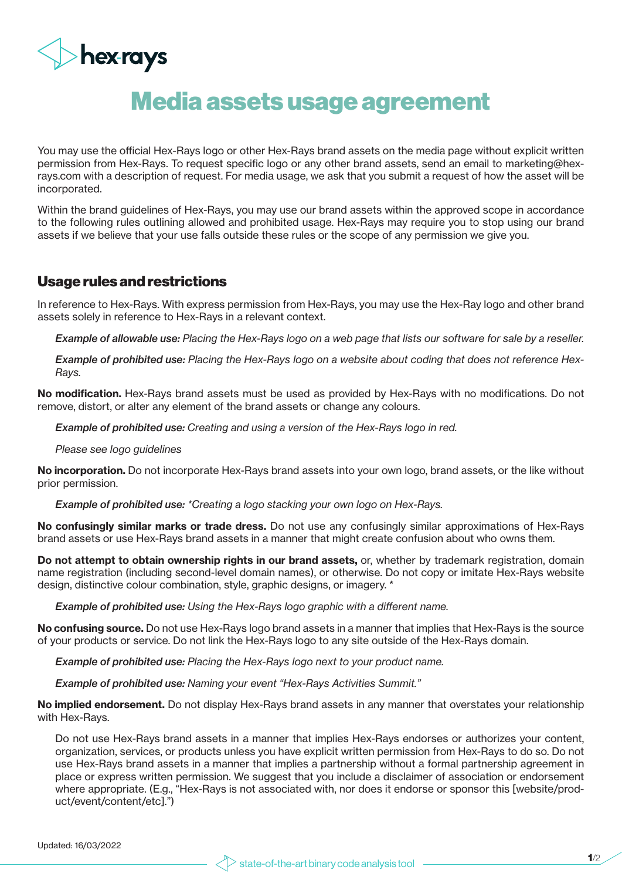

## Media assets usage agreement

You may use the official Hex-Rays logo or other Hex-Rays brand assets on the media page without explicit written permission from Hex-Rays. To request specific logo or any other brand assets, send an email to marketing@hexrays.com with a description of request. For media usage, we ask that you submit a request of how the asset will be incorporated.

Within the brand guidelines of Hex-Rays, you may use our brand assets within the approved scope in accordance to the following rules outlining allowed and prohibited usage. Hex-Rays may require you to stop using our brand assets if we believe that your use falls outside these rules or the scope of any permission we give you.

## Usage rules and restrictions

In reference to Hex-Rays. With express permission from Hex-Rays, you may use the Hex-Ray logo and other brand assets solely in reference to Hex-Rays in a relevant context.

*Example of allowable use: Placing the Hex-Rays logo on a web page that lists our software for sale by a reseller.*

*Example of prohibited use: Placing the Hex-Rays logo on a website about coding that does not reference Hex-Rays.*

No modification. Hex-Rays brand assets must be used as provided by Hex-Rays with no modifications. Do not remove, distort, or alter any element of the brand assets or change any colours.

*Example of prohibited use: Creating and using a version of the Hex-Rays logo in red.*

*Please see logo guidelines*

No incorporation. Do not incorporate Hex-Rays brand assets into your own logo, brand assets, or the like without prior permission.

*Example of prohibited use: \*Creating a logo stacking your own logo on Hex-Rays.*

No confusingly similar marks or trade dress. Do not use any confusingly similar approximations of Hex-Rays brand assets or use Hex-Rays brand assets in a manner that might create confusion about who owns them.

Do not attempt to obtain ownership rights in our brand assets, or, whether by trademark registration, domain name registration (including second-level domain names), or otherwise. Do not copy or imitate Hex-Rays website design, distinctive colour combination, style, graphic designs, or imagery. \*

*Example of prohibited use: Using the Hex-Rays logo graphic with a different name.*

No confusing source. Do not use Hex-Rays logo brand assets in a manner that implies that Hex-Rays is the source of your products or service. Do not link the Hex-Rays logo to any site outside of the Hex-Rays domain.

*Example of prohibited use: Placing the Hex-Rays logo next to your product name.* 

*Example of prohibited use: Naming your event "Hex-Rays Activities Summit."*

No implied endorsement. Do not display Hex-Rays brand assets in any manner that overstates your relationship with Hex-Rays.

Do not use Hex-Rays brand assets in a manner that implies Hex-Rays endorses or authorizes your content, organization, services, or products unless you have explicit written permission from Hex-Rays to do so. Do not use Hex-Rays brand assets in a manner that implies a partnership without a formal partnership agreement in place or express written permission. We suggest that you include a disclaimer of association or endorsement where appropriate. (E.g., "Hex-Rays is not associated with, nor does it endorse or sponsor this [website/product/event/content/etc].")